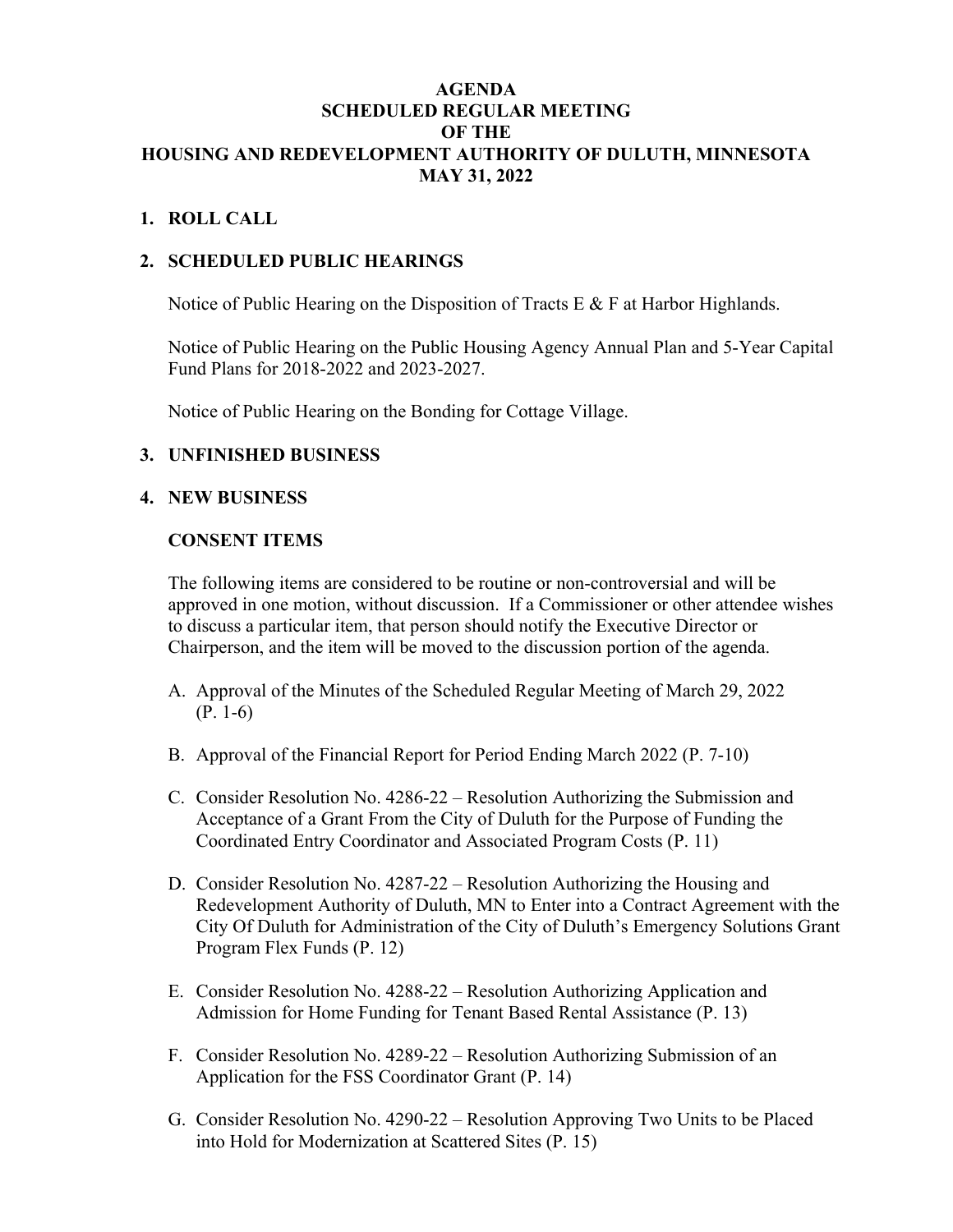#### **AGENDA SCHEDULED REGULAR MEETING OF THE HOUSING AND REDEVELOPMENT AUTHORITY OF DULUTH, MINNESOTA MAY 31, 2022**

#### **1. ROLL CALL**

#### **2. SCHEDULED PUBLIC HEARINGS**

Notice of Public Hearing on the Disposition of Tracts E & F at Harbor Highlands.

Notice of Public Hearing on the Public Housing Agency Annual Plan and 5-Year Capital Fund Plans for 2018-2022 and 2023-2027.

Notice of Public Hearing on the Bonding for Cottage Village.

### **3. UNFINISHED BUSINESS**

#### **4. NEW BUSINESS**

#### **CONSENT ITEMS**

The following items are considered to be routine or non-controversial and will be approved in one motion, without discussion. If a Commissioner or other attendee wishes to discuss a particular item, that person should notify the Executive Director or Chairperson, and the item will be moved to the discussion portion of the agenda.

- A. Approval of the Minutes of the Scheduled Regular Meeting of March 29, 2022 (P. 1-6)
- B. Approval of the Financial Report for Period Ending March 2022 (P. 7-10)
- C. Consider Resolution No. 4286-22 Resolution Authorizing the Submission and Acceptance of a Grant From the City of Duluth for the Purpose of Funding the Coordinated Entry Coordinator and Associated Program Costs (P. 11)
- D. Consider Resolution No. 4287-22 Resolution Authorizing the Housing and Redevelopment Authority of Duluth, MN to Enter into a Contract Agreement with the City Of Duluth for Administration of the City of Duluth's Emergency Solutions Grant Program Flex Funds (P. 12)
- E. Consider Resolution No. 4288-22 Resolution Authorizing Application and Admission for Home Funding for Tenant Based Rental Assistance (P. 13)
- F. Consider Resolution No. 4289-22 Resolution Authorizing Submission of an Application for the FSS Coordinator Grant (P. 14)
- G. Consider Resolution No. 4290-22 Resolution Approving Two Units to be Placed into Hold for Modernization at Scattered Sites (P. 15)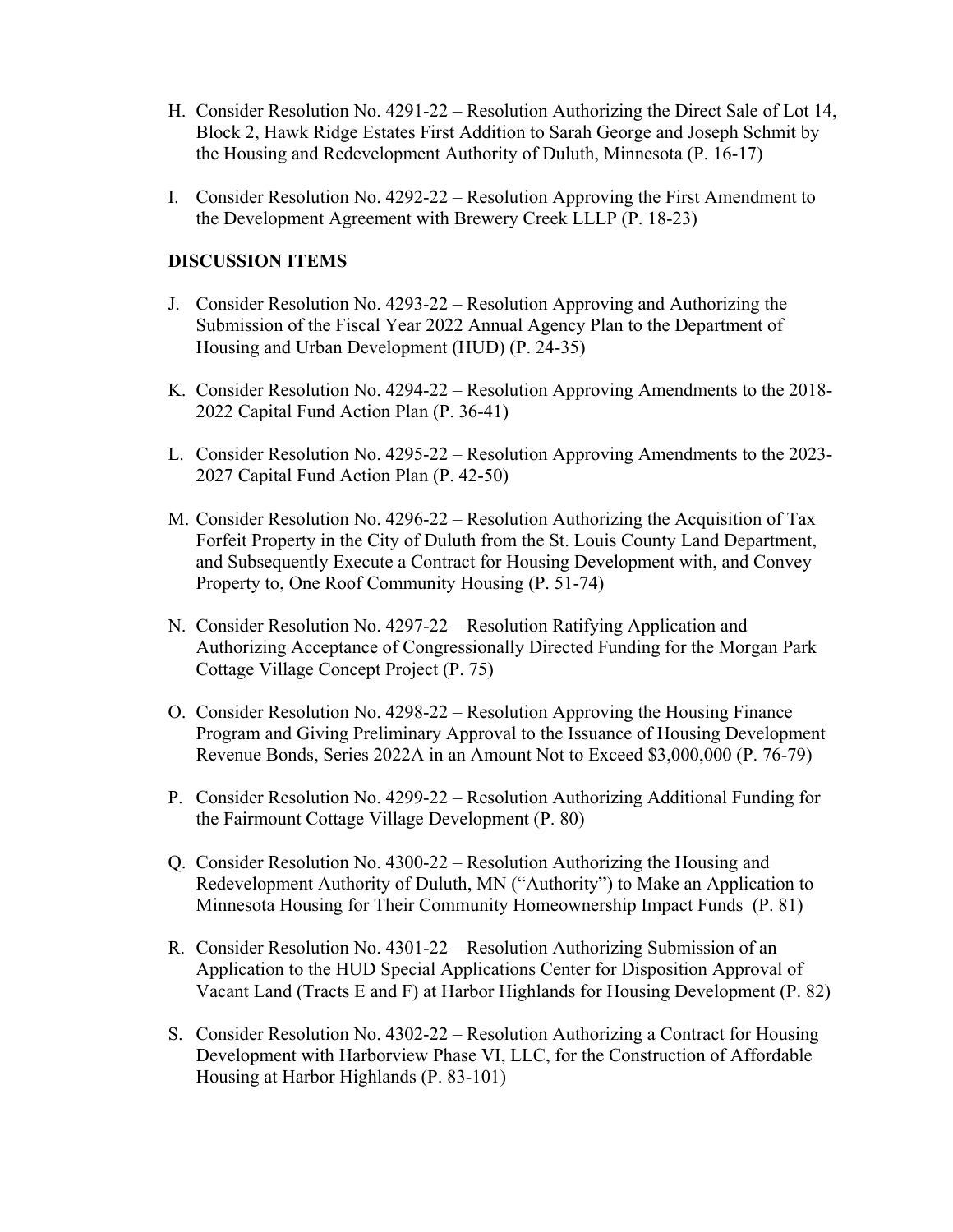- H. Consider Resolution No. 4291-22 Resolution Authorizing the Direct Sale of Lot 14, Block 2, Hawk Ridge Estates First Addition to Sarah George and Joseph Schmit by the Housing and Redevelopment Authority of Duluth, Minnesota (P. 16-17)
- I. Consider Resolution No. 4292-22 Resolution Approving the First Amendment to the Development Agreement with Brewery Creek LLLP (P. 18-23)

### **DISCUSSION ITEMS**

- J. Consider Resolution No. 4293-22 Resolution Approving and Authorizing the Submission of the Fiscal Year 2022 Annual Agency Plan to the Department of Housing and Urban Development (HUD) (P. 24-35)
- K. Consider Resolution No. 4294-22 Resolution Approving Amendments to the 2018- 2022 Capital Fund Action Plan (P. 36-41)
- L. Consider Resolution No. 4295-22 Resolution Approving Amendments to the 2023- 2027 Capital Fund Action Plan (P. 42-50)
- M. Consider Resolution No. 4296-22 Resolution Authorizing the Acquisition of Tax Forfeit Property in the City of Duluth from the St. Louis County Land Department, and Subsequently Execute a Contract for Housing Development with, and Convey Property to, One Roof Community Housing (P. 51-74)
- N. Consider Resolution No. 4297-22 Resolution Ratifying Application and Authorizing Acceptance of Congressionally Directed Funding for the Morgan Park Cottage Village Concept Project (P. 75)
- O. Consider Resolution No. 4298-22 Resolution Approving the Housing Finance Program and Giving Preliminary Approval to the Issuance of Housing Development Revenue Bonds, Series 2022A in an Amount Not to Exceed \$3,000,000 (P. 76-79)
- P. Consider Resolution No. 4299-22 Resolution Authorizing Additional Funding for the Fairmount Cottage Village Development (P. 80)
- Q. Consider Resolution No. 4300-22 Resolution Authorizing the Housing and Redevelopment Authority of Duluth, MN ("Authority") to Make an Application to Minnesota Housing for Their Community Homeownership Impact Funds (P. 81)
- R. Consider Resolution No. 4301-22 Resolution Authorizing Submission of an Application to the HUD Special Applications Center for Disposition Approval of Vacant Land (Tracts E and F) at Harbor Highlands for Housing Development (P. 82)
- S. Consider Resolution No. 4302-22 Resolution Authorizing a Contract for Housing Development with Harborview Phase VI, LLC, for the Construction of Affordable Housing at Harbor Highlands (P. 83-101)